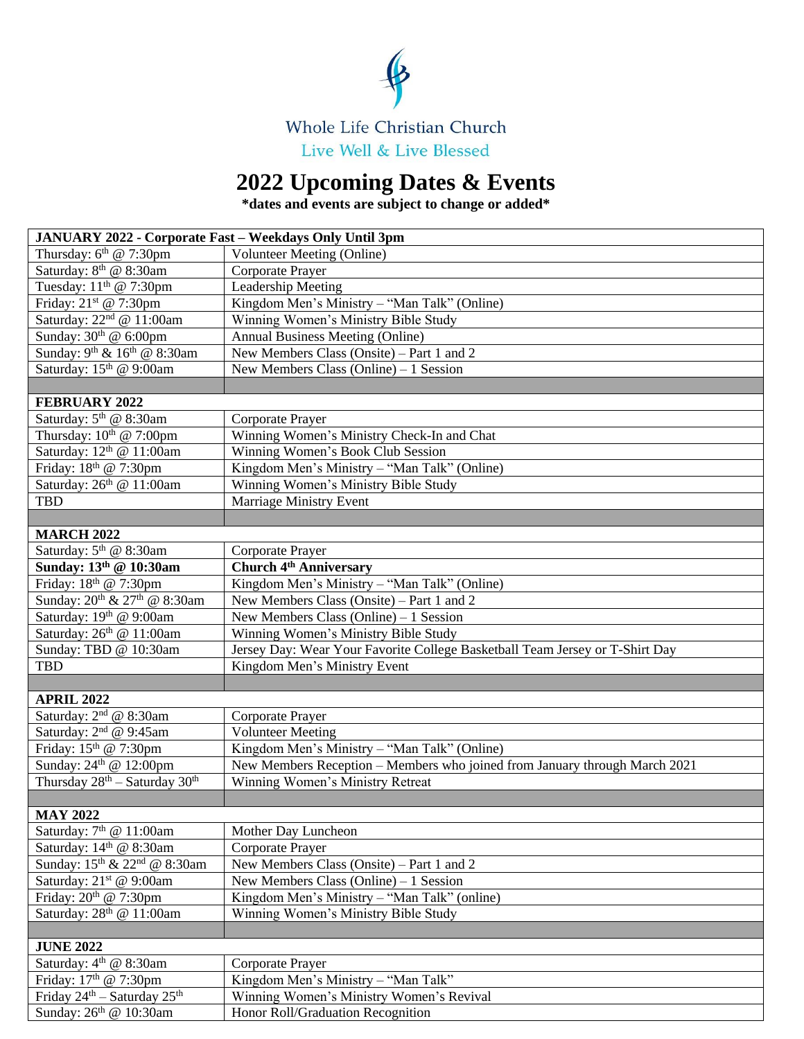

## **2022 Upcoming Dates & Events**

**\*dates and events are subject to change or added\***

| JANUARY 2022 - Corporate Fast - Weekdays Only Until 3pm |                                                                              |
|---------------------------------------------------------|------------------------------------------------------------------------------|
| Thursday: $6th$ @ 7:30pm                                | <b>Volunteer Meeting (Online)</b>                                            |
| Saturday: 8 <sup>th</sup> @ 8:30am                      | Corporate Prayer                                                             |
| Tuesday: 11 <sup>th</sup> @ 7:30pm                      | Leadership Meeting                                                           |
| Friday: 21 <sup>st</sup> @ 7:30pm                       | Kingdom Men's Ministry - "Man Talk" (Online)                                 |
| Saturday: 22 <sup>nd</sup> @ 11:00am                    | Winning Women's Ministry Bible Study                                         |
| Sunday: $30th$ @ 6:00pm                                 | Annual Business Meeting (Online)                                             |
| Sunday: 9 <sup>th</sup> & 16 <sup>th</sup> @ 8:30am     | New Members Class (Onsite) – Part 1 and 2                                    |
| Saturday: 15th @ 9:00am                                 | New Members Class (Online) $-1$ Session                                      |
|                                                         |                                                                              |
| <b>FEBRUARY 2022</b>                                    |                                                                              |
| Saturday: 5 <sup>th</sup> @ 8:30am                      | Corporate Prayer                                                             |
| Thursday: $10^{th}$ @ 7:00pm                            | Winning Women's Ministry Check-In and Chat                                   |
| Saturday: 12 <sup>th</sup> @ 11:00am                    | Winning Women's Book Club Session                                            |
| Friday: 18th @ 7:30pm                                   | Kingdom Men's Ministry - "Man Talk" (Online)                                 |
| Saturday: 26th @ 11:00am                                | Winning Women's Ministry Bible Study                                         |
| <b>TBD</b>                                              | <b>Marriage Ministry Event</b>                                               |
|                                                         |                                                                              |
| <b>MARCH 2022</b>                                       |                                                                              |
| Saturday: 5 <sup>th</sup> @ 8:30am                      | Corporate Prayer                                                             |
| Sunday: 13 <sup>th</sup> @ 10:30am                      | <b>Church 4th Anniversary</b>                                                |
| Friday: 18th @ 7:30pm                                   | Kingdom Men's Ministry - "Man Talk" (Online)                                 |
| Sunday: 20 <sup>th</sup> & 27 <sup>th</sup> @ 8:30am    | New Members Class (Onsite) – Part 1 and 2                                    |
| Saturday: 19th @ 9:00am                                 | New Members Class (Online) $-1$ Session                                      |
| Saturday: 26 <sup>th</sup> @ 11:00am                    | Winning Women's Ministry Bible Study                                         |
| Sunday: TBD @ 10:30am                                   | Jersey Day: Wear Your Favorite College Basketball Team Jersey or T-Shirt Day |
| <b>TBD</b>                                              | Kingdom Men's Ministry Event                                                 |
|                                                         |                                                                              |
| <b>APRIL 2022</b>                                       |                                                                              |
| Saturday: $2nd @ 8:30am$                                | Corporate Prayer                                                             |
| Saturday: 2 <sup>nd</sup> @ 9:45am                      | <b>Volunteer Meeting</b>                                                     |
| Friday: $15th$ @ 7:30pm                                 | Kingdom Men's Ministry - "Man Talk" (Online)                                 |
| Sunday: 24 <sup>th</sup> @ 12:00pm                      | New Members Reception - Members who joined from January through March 2021   |
| Thursday $28^{th}$ – Saturday $30^{th}$                 | Winning Women's Ministry Retreat                                             |
|                                                         |                                                                              |
| <b>MAY 2022</b>                                         |                                                                              |
| Saturday: 7 <sup>th</sup> @ 11:00am                     | Mother Day Luncheon                                                          |
| Saturday: $14th$ @ 8:30am                               | Corporate Prayer                                                             |
| Sunday: 15 <sup>th</sup> & 22 <sup>nd</sup> @ 8:30am    | New Members Class (Onsite) – Part 1 and 2                                    |
| Saturday: 21st @ 9:00am                                 | New Members Class (Online) $-1$ Session                                      |
| Friday: $20th$ @ 7:30pm                                 | Kingdom Men's Ministry – "Man Talk" (online)                                 |
| Saturday: 28 <sup>th</sup> @ 11:00am                    | Winning Women's Ministry Bible Study                                         |
|                                                         |                                                                              |
| <b>JUNE 2022</b>                                        |                                                                              |
| Saturday: 4 <sup>th</sup> @ 8:30am                      | Corporate Prayer                                                             |
| Friday: 17 <sup>th</sup> @ 7:30pm                       | Kingdom Men's Ministry - "Man Talk"                                          |
| Friday 24 <sup>th</sup> - Saturday 25 <sup>th</sup>     | Winning Women's Ministry Women's Revival                                     |
| Sunday: 26 <sup>th</sup> @ 10:30am                      | Honor Roll/Graduation Recognition                                            |